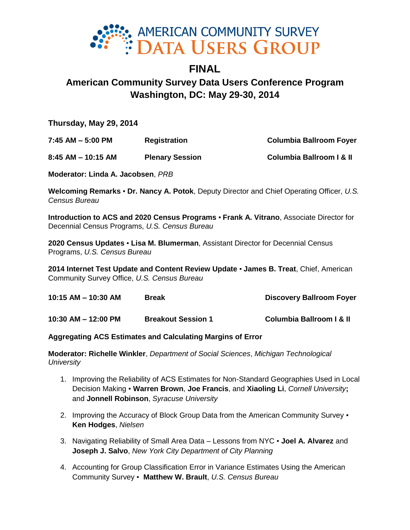

# **FINAL American Community Survey Data Users Conference Program Washington, DC: May 29-30, 2014**

**Thursday, May 29, 2014**

**7:45 AM – 5:00 PM Registration Columbia Ballroom Foyer 8:45 AM – 10:15 AM Plenary Session Columbia Ballroom I & II**

**Moderator: Linda A. Jacobsen**, *PRB*

**Welcoming Remarks** ▪ **Dr. Nancy A. Potok**, Deputy Director and Chief Operating Officer, *U.S. Census Bureau*

**Introduction to ACS and 2020 Census Programs** ▪ **Frank A. Vitrano**, Associate Director for Decennial Census Programs, *U.S. Census Bureau*

**2020 Census Updates** ▪ **Lisa M. Blumerman**, Assistant Director for Decennial Census Programs, *U.S. Census Bureau*

**2014 Internet Test Update and Content Review Update** ▪ **James B. Treat**, Chief, American Community Survey Office, *U.S. Census Bureau*

| $10:15$ AM $-$ 10:30 AM | <b>Break</b>              | <b>Discovery Ballroom Foyer</b>     |
|-------------------------|---------------------------|-------------------------------------|
| $10:30$ AM $-$ 12:00 PM | <b>Breakout Session 1</b> | <b>Columbia Ballroom I &amp; II</b> |

# **Aggregating ACS Estimates and Calculating Margins of Error**

**Moderator: Richelle Winkler**, *Department of Social Sciences*, *Michigan Technological University*

- 1. Improving the Reliability of ACS Estimates for Non-Standard Geographies Used in Local Decision Making ▪ **Warren Brown**, **Joe Francis**, and **Xiaoling Li**, *Cornell University***;**  and **Jonnell Robinson**, *Syracuse University*
- 2. Improving the Accuracy of Block Group Data from the American Community Survey **Ken Hodges**, *Nielsen*
- 3. Navigating Reliability of Small Area Data Lessons from NYC **Joel A. Alvarez** and **Joseph J. Salvo**, *New York City Department of City Planning*
- 4. Accounting for Group Classification Error in Variance Estimates Using the American Community Survey ▪ **Matthew W. Brault**, *U.S. Census Bureau*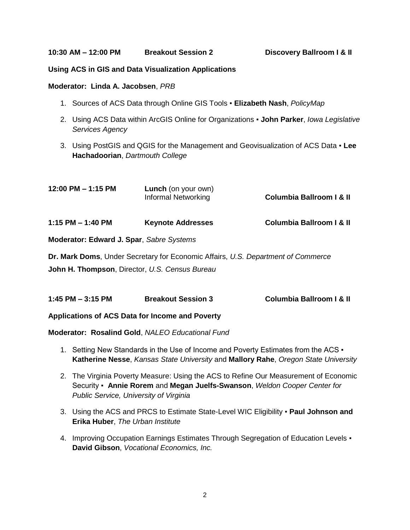**10:30 AM – 12:00 PM Breakout Session 2 Discovery Ballroom I & II**

#### **Using ACS in GIS and Data Visualization Applications**

#### **Moderator: Linda A. Jacobsen**, *PRB*

- 1. Sources of ACS Data through Online GIS Tools **Elizabeth Nash**, *PolicyMap*
- 2. Using ACS Data within ArcGIS Online for Organizations **John Parker**, *Iowa Legislative Services Agency*
- 3. Using PostGIS and QGIS for the Management and Geovisualization of ACS Data **Lee Hachadoorian**, *Dartmouth College*

| $12:00$ PM $- 1:15$ PM | <b>Lunch</b> (on your own)<br>Informal Networking | <b>Columbia Ballroom I &amp; II</b> |
|------------------------|---------------------------------------------------|-------------------------------------|
| 1:15 PM $-$ 1:40 PM    | <b>Keynote Addresses</b>                          | <b>Columbia Ballroom I &amp; II</b> |

**Moderator: Edward J. Spar**, *Sabre Systems*

**Dr. Mark Doms**, Under Secretary for Economic Affairs, *U.S. Department of Commerce*

**John H. Thompson**, Director, *U.S. Census Bureau*

| $1:45$ PM $-3:15$ PM | <b>Breakout Session 3</b> | <b>Columbia Ballroom I &amp; II</b> |
|----------------------|---------------------------|-------------------------------------|
|                      |                           |                                     |

**Applications of ACS Data for Income and Poverty**

**Moderator: Rosalind Gold**, *NALEO Educational Fund*

- 1. Setting New Standards in the Use of Income and Poverty Estimates from the ACS  $\cdot$ **Katherine Nesse**, *Kansas State University* and **Mallory Rahe**, *Oregon State University*
- 2. The Virginia Poverty Measure: Using the ACS to Refine Our Measurement of Economic Security ▪ **Annie Rorem** and **Megan Juelfs-Swanson**, *Weldon Cooper Center for Public Service, University of Virginia*
- 3. Using the ACS and PRCS to Estimate State-Level WIC Eligibility **Paul Johnson and Erika Huber**, *The Urban Institute*
- 4. Improving Occupation Earnings Estimates Through Segregation of Education Levels . **David Gibson**, *Vocational Economics, Inc.*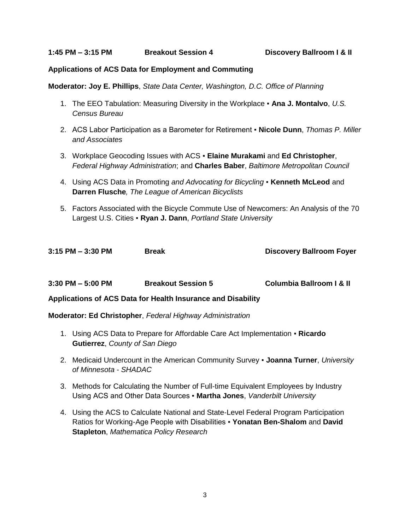#### **Applications of ACS Data for Employment and Commuting**

**Moderator: Joy E. Phillips**, *State Data Center, Washington, D.C. Office of Planning*

- 1. The EEO Tabulation: Measuring Diversity in the Workplace **Ana J. Montalvo**, *U.S. Census Bureau*
- 2. ACS Labor Participation as a Barometer for Retirement **Nicole Dunn**, *Thomas P. Miller and Associates*
- 3. Workplace Geocoding Issues with ACS **Elaine Murakami** and **Ed Christopher**, *Federal Highway Administration*; and **Charles Baber**, *Baltimore Metropolitan Council*
- 4. Using ACS Data in Promoting *and Advocating for Bicycling ▪* **Kenneth McLeod** and **Darren Flusche***, The League of American Bicyclists*
- 5. Factors Associated with the Bicycle Commute Use of Newcomers: An Analysis of the 70 Largest U.S. Cities ▪ **Ryan J. Dann**, *Portland State University*

| 3:15 PM – 3:30 PM | <b>Break</b> |
|-------------------|--------------|
|                   |              |

**Discovery Ballroom Foyer** 

| $3:30$ PM $-5:00$ PM | <b>Breakout Session 5</b> | <b>Columbia Ballroom I &amp; II</b> |
|----------------------|---------------------------|-------------------------------------|
|                      |                           |                                     |

**Applications of ACS Data for Health Insurance and Disability** 

#### **Moderator: Ed Christopher**, *Federal Highway Administration*

- 1. Using ACS Data to Prepare for Affordable Care Act Implementation **Ricardo Gutierrez**, *County of San Diego*
- 2. Medicaid Undercount in the American Community Survey **Joanna Turner**, *University of Minnesota - SHADAC*
- 3. Methods for Calculating the Number of Full-time Equivalent Employees by Industry Using ACS and Other Data Sources ▪ **Martha Jones**, *Vanderbilt University*
- 4. Using the ACS to Calculate National and State-Level Federal Program Participation Ratios for Working-Age People with Disabilities ▪ **Yonatan Ben-Shalom** and **David Stapleton**, *Mathematica Policy Research*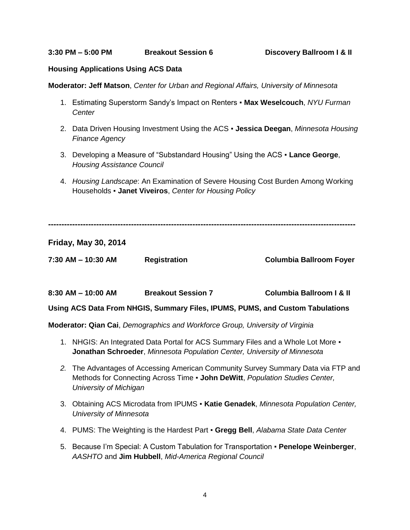**3:30 PM – 5:00 PM Breakout Session 6 Discovery Ballroom I & II**

#### **Housing Applications Using ACS Data**

**Moderator: Jeff Matson**, *Center for Urban and Regional Affairs, University of Minnesota* 

- 1. Estimating Superstorm Sandy's Impact on Renters **Max Weselcouch**, *NYU Furman Center*
- 2. Data Driven Housing Investment Using the ACS **Jessica Deegan**, *Minnesota Housing Finance Agency*
- 3. Developing a Measure of "Substandard Housing" Using the ACS **Lance George**, *Housing Assistance Council*
- 4. *Housing Landscape*: An Examination of Severe Housing Cost Burden Among Working Households ▪ **Janet Viveiros**, *Center for Housing Policy*

**-------------------------------------------------------------------------------------------------------------------**

**Friday, May 30, 2014**

**7:30 AM – 10:30 AM Registration Columbia Ballroom Foyer**

**8:30 AM – 10:00 AM Breakout Session 7 Columbia Ballroom I & II**

**Using ACS Data From NHGIS, Summary Files, IPUMS, PUMS, and Custom Tabulations**

**Moderator: Qian Cai**, *Demographics and Workforce Group, University of Virginia*

- 1. NHGIS: An Integrated Data Portal for ACS Summary Files and a Whole Lot More **Jonathan Schroeder**, *Minnesota Population Center, University of Minnesota*
- *2.* The Advantages of Accessing American Community Survey Summary Data via FTP and Methods for Connecting Across Time ▪ **John DeWitt**, *Population Studies Center, University of Michigan*
- 3. Obtaining ACS Microdata from IPUMS **Katie Genadek**, *Minnesota Population Center, University of Minnesota*
- 4. PUMS: The Weighting is the Hardest Part **Gregg Bell**, *Alabama State Data Center*
- 5. Because I'm Special: A Custom Tabulation for Transportation **Penelope Weinberger**, *AASHTO* and **Jim Hubbell**, *Mid-America Regional Council*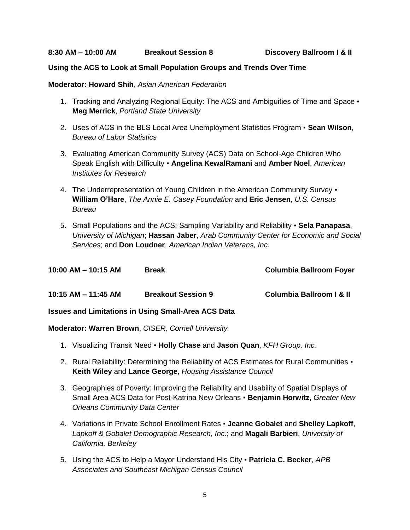#### **Using the ACS to Look at Small Population Groups and Trends Over Time**

#### **Moderator: Howard Shih**, *Asian American Federation*

- 1. Tracking and Analyzing Regional Equity: The ACS and Ambiguities of Time and Space **Meg Merrick**, *Portland State University*
- 2. Uses of ACS in the BLS Local Area Unemployment Statistics Program **Sean Wilson**, *Bureau of Labor Statistics*
- 3. Evaluating American Community Survey (ACS) Data on School-Age Children Who Speak English with Difficulty ▪ **Angelina KewalRamani** and **Amber Noel**, *American Institutes for Research*
- 4. The Underrepresentation of Young Children in the American Community Survey **William O'Hare**, *The Annie E. Casey Foundation* and **Eric Jensen**, *U.S. Census Bureau*
- 5. Small Populations and the ACS: Sampling Variability and Reliability **Sela Panapasa**, *University of Michigan*; **Hassan Jaber**, *Arab Community Center for Economic and Social Services*; and **Don Loudner**, *American Indian Veterans, Inc.*

| $10:00$ AM $- 10:15$ AM | <b>Break</b>              | <b>Columbia Ballroom Foyer</b>      |
|-------------------------|---------------------------|-------------------------------------|
| $10:15$ AM $-$ 11:45 AM | <b>Breakout Session 9</b> | <b>Columbia Ballroom I &amp; II</b> |

# **Issues and Limitations in Using Small-Area ACS Data**

### **Moderator: Warren Brown**, *CISER, Cornell University*

- 1. Visualizing Transit Need **Holly Chase** and **Jason Quan**, *KFH Group, Inc.*
- 2. Rural Reliability: Determining the Reliability of ACS Estimates for Rural Communities **Keith Wiley** and **Lance George**, *Housing Assistance Council*
- 3. Geographies of Poverty: Improving the Reliability and Usability of Spatial Displays of Small Area ACS Data for Post-Katrina New Orleans ▪ **Benjamin Horwitz**, *Greater New Orleans Community Data Center*
- 4. Variations in Private School Enrollment Rates **Jeanne Gobalet** and **Shelley Lapkoff**, *Lapkoff & Gobalet Demographic Research, Inc*.; and **Magali Barbieri**, *University of California, Berkeley*
- 5. Using the ACS to Help a Mayor Understand His City **Patricia C. Becker**, *APB Associates and Southeast Michigan Census Council*